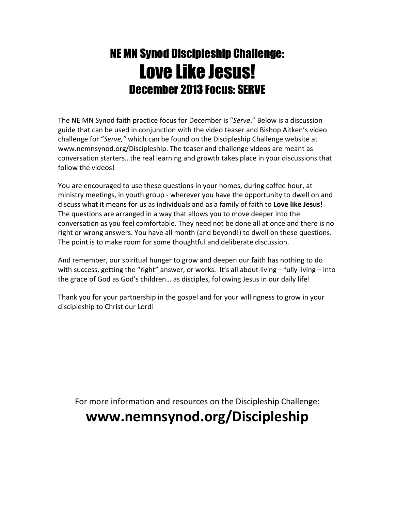## NE MN Synod Discipleship Challenge: Love Like Jesus! December 2013 Focus: SERVE

The NE MN Synod faith practice focus for December is "Serve." Below is a discussion guide that can be used in conjunction with the video teaser and Bishop Aitken's video challenge for "Serve," which can be found on the Discipleship Challenge website at www.nemnsynod.org/Discipleship. The teaser and challenge videos are meant as conversation starters…the real learning and growth takes place in your discussions that follow the videos!

You are encouraged to use these questions in your homes, during coffee hour, at ministry meetings, in youth group - wherever you have the opportunity to dwell on and discuss what it means for us as individuals and as a family of faith to Love like Jesus! The questions are arranged in a way that allows you to move deeper into the conversation as you feel comfortable. They need not be done all at once and there is no right or wrong answers. You have all month (and beyond!) to dwell on these questions. The point is to make room for some thoughtful and deliberate discussion.

And remember, our spiritual hunger to grow and deepen our faith has nothing to do with success, getting the "right" answer, or works. It's all about living – fully living – into the grace of God as God's children… as disciples, following Jesus in our daily life!

Thank you for your partnership in the gospel and for your willingness to grow in your discipleship to Christ our Lord!

For more information and resources on the Discipleship Challenge:

## www.nemnsynod.org/Discipleship